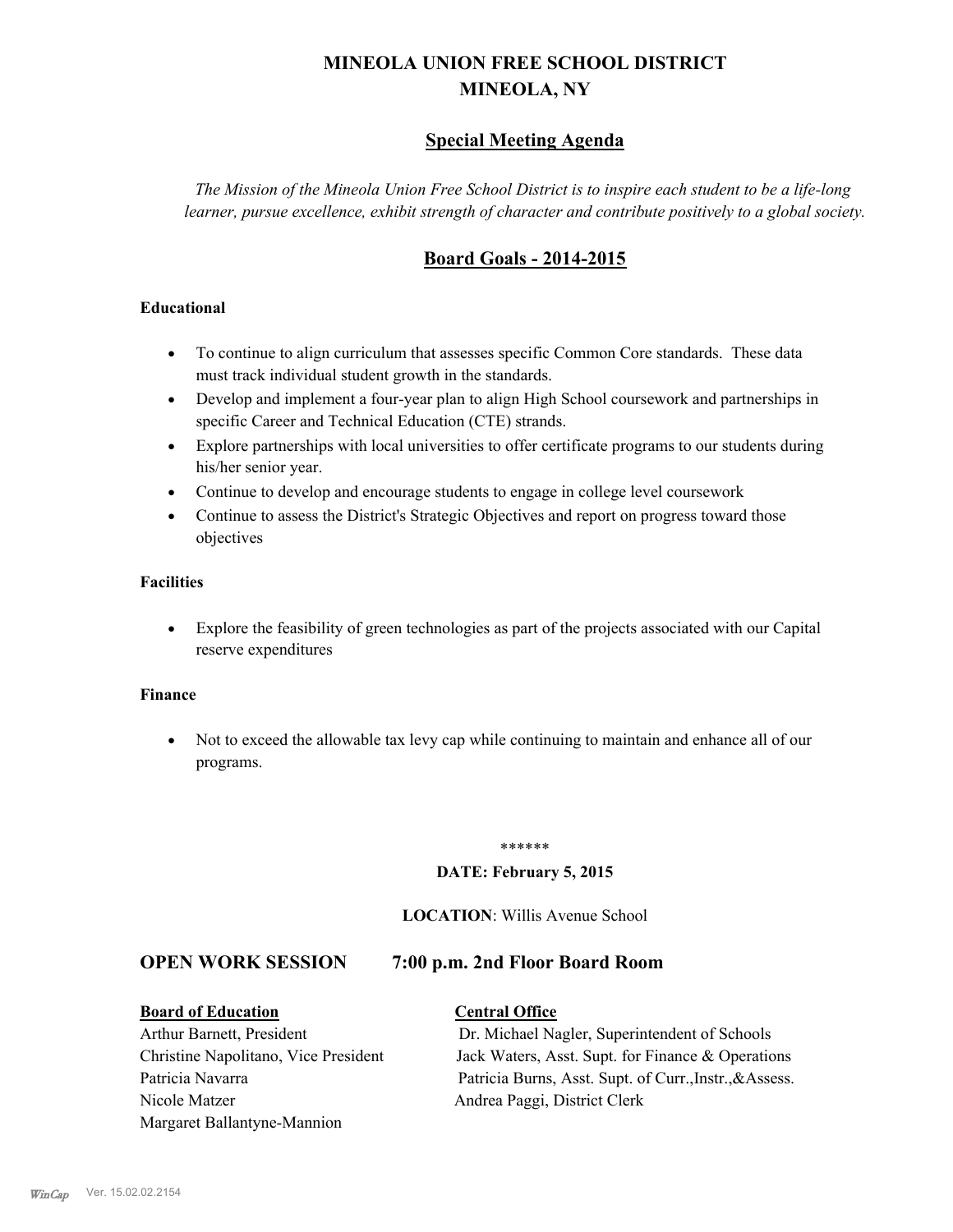# **MINEOLA UNION FREE SCHOOL DISTRICT MINEOLA, NY**

# **Special Meeting Agenda**

*The Mission of the Mineola Union Free School District is to inspire each student to be a life-long learner, pursue excellence, exhibit strength of character and contribute positively to a global society.*

# **Board Goals - 2014-2015**

#### **Educational**

- · To continue to align curriculum that assesses specific Common Core standards. These data must track individual student growth in the standards.
- · Develop and implement a four-year plan to align High School coursework and partnerships in specific Career and Technical Education (CTE) strands.
- · Explore partnerships with local universities to offer certificate programs to our students during his/her senior year.
- · Continue to develop and encourage students to engage in college level coursework
- Continue to assess the District's Strategic Objectives and report on progress toward those objectives

#### **Facilities**

· Explore the feasibility of green technologies as part of the projects associated with our Capital reserve expenditures

#### **Finance**

· Not to exceed the allowable tax levy cap while continuing to maintain and enhance all of our programs.

#### \*\*\*\*\*\*

#### **DATE: February 5, 2015**

#### **LOCATION**: Willis Avenue School

### **OPEN WORK SESSION 7:00 p.m. 2nd Floor Board Room**

#### **Board of Education Central Office**

# Nicole Matzer Andrea Paggi, District Clerk Margaret Ballantyne-Mannion

Arthur Barnett, President Dr. Michael Nagler, Superintendent of Schools Christine Napolitano, Vice President Jack Waters, Asst. Supt. for Finance & Operations Patricia Navarra Patricia Burns, Asst. Supt. of Curr., Instr., & Assess.